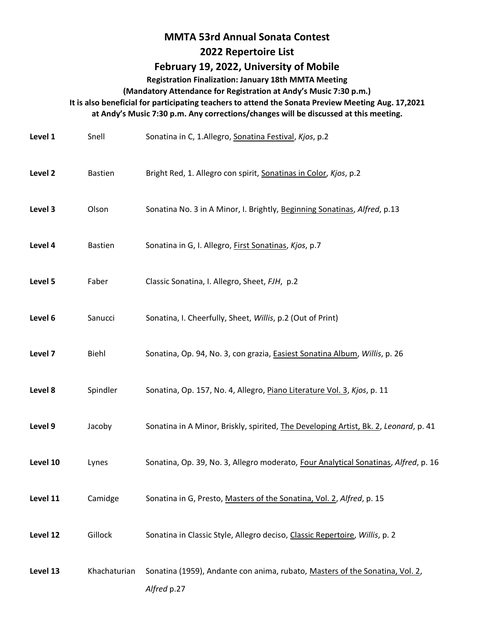## **MMTA 53rd Annual Sonata Contest**

## **2022 Repertoire List**

## **February 19, 2022, University of Mobile**

**Registration Finalization: January 18th MMTA Meeting** 

**(Mandatory Attendance for Registration at Andy's Music 7:30 p.m.)** 

**It is also beneficial for participating teachers to attend the Sonata Preview Meeting Aug. 17,2021** 

**at Andy's Music 7:30 p.m. Any corrections/changes will be discussed at this meeting.** 

| Level 1  | Snell          | Sonatina in C, 1.Allegro, Sonatina Festival, Kjos, p.2                                      |
|----------|----------------|---------------------------------------------------------------------------------------------|
| Level 2  | <b>Bastien</b> | Bright Red, 1. Allegro con spirit, Sonatinas in Color, Kjos, p.2                            |
| Level 3  | Olson          | Sonatina No. 3 in A Minor, I. Brightly, Beginning Sonatinas, Alfred, p.13                   |
| Level 4  | <b>Bastien</b> | Sonatina in G, I. Allegro, First Sonatinas, Kjos, p.7                                       |
| Level 5  | Faber          | Classic Sonatina, I. Allegro, Sheet, FJH, p.2                                               |
| Level 6  | Sanucci        | Sonatina, I. Cheerfully, Sheet, Willis, p.2 (Out of Print)                                  |
| Level 7  | Biehl          | Sonatina, Op. 94, No. 3, con grazia, <b>Easiest Sonatina Album</b> , Willis, p. 26          |
| Level 8  | Spindler       | Sonatina, Op. 157, No. 4, Allegro, Piano Literature Vol. 3, Kjos, p. 11                     |
| Level 9  | Jacoby         | Sonatina in A Minor, Briskly, spirited, The Developing Artist, Bk. 2, Leonard, p. 41        |
| Level 10 | Lynes          | Sonatina, Op. 39, No. 3, Allegro moderato, Four Analytical Sonatinas, Alfred, p. 16         |
| Level 11 | Camidge        | Sonatina in G, Presto, Masters of the Sonatina, Vol. 2, Alfred, p. 15                       |
| Level 12 | Gillock        | Sonatina in Classic Style, Allegro deciso, Classic Repertoire, Willis, p. 2                 |
| Level 13 | Khachaturian   | Sonatina (1959), Andante con anima, rubato, Masters of the Sonatina, Vol. 2,<br>Alfred p.27 |